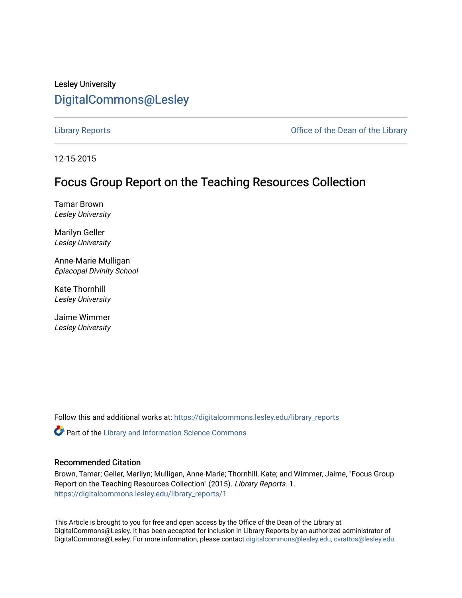# Lesley University [DigitalCommons@Lesley](https://digitalcommons.lesley.edu/)

[Library Reports](https://digitalcommons.lesley.edu/library_reports) **Contract Contract Contract Contract Contract Contract Contract Contract Contract Contract Contract Contract Contract Contract Contract Contract Contract Contract Contract Contract Contract Contract Contrac** 

12-15-2015

## Focus Group Report on the Teaching Resources Collection

Tamar Brown Lesley University

Marilyn Geller Lesley University

Anne-Marie Mulligan Episcopal Divinity School

Kate Thornhill Lesley University

Jaime Wimmer Lesley University

Follow this and additional works at: [https://digitalcommons.lesley.edu/library\\_reports](https://digitalcommons.lesley.edu/library_reports?utm_source=digitalcommons.lesley.edu%2Flibrary_reports%2F1&utm_medium=PDF&utm_campaign=PDFCoverPages) 

Part of the [Library and Information Science Commons](http://network.bepress.com/hgg/discipline/1018?utm_source=digitalcommons.lesley.edu%2Flibrary_reports%2F1&utm_medium=PDF&utm_campaign=PDFCoverPages) 

#### Recommended Citation

Brown, Tamar; Geller, Marilyn; Mulligan, Anne-Marie; Thornhill, Kate; and Wimmer, Jaime, "Focus Group Report on the Teaching Resources Collection" (2015). Library Reports. 1. [https://digitalcommons.lesley.edu/library\\_reports/1](https://digitalcommons.lesley.edu/library_reports/1?utm_source=digitalcommons.lesley.edu%2Flibrary_reports%2F1&utm_medium=PDF&utm_campaign=PDFCoverPages) 

This Article is brought to you for free and open access by the Office of the Dean of the Library at DigitalCommons@Lesley. It has been accepted for inclusion in Library Reports by an authorized administrator of DigitalCommons@Lesley. For more information, please contact [digitalcommons@lesley.edu, cvrattos@lesley.edu.](mailto:digitalcommons@lesley.edu,%20cvrattos@lesley.edu)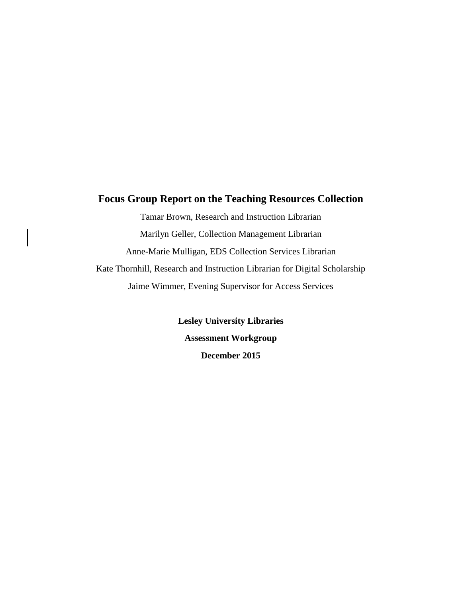### **Focus Group Report on the Teaching Resources Collection**

Tamar Brown, Research and Instruction Librarian Marilyn Geller, Collection Management Librarian Anne-Marie Mulligan, EDS Collection Services Librarian Kate Thornhill, Research and Instruction Librarian for Digital Scholarship Jaime Wimmer, Evening Supervisor for Access Services

> **Lesley University Libraries Assessment Workgroup December 2015**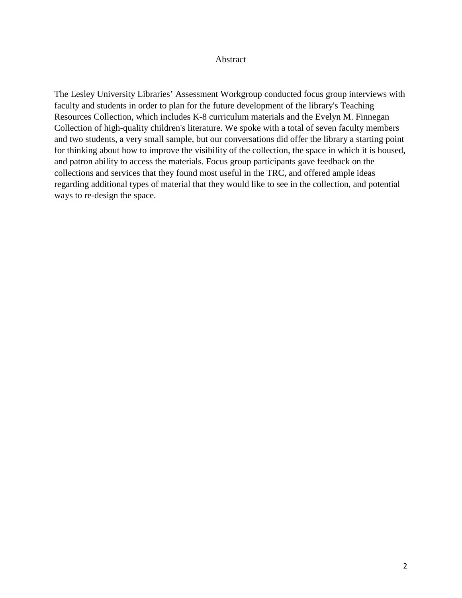#### Abstract

The Lesley University Libraries' Assessment Workgroup conducted focus group interviews with faculty and students in order to plan for the future development of the library's Teaching Resources Collection, which includes K-8 curriculum materials and the Evelyn M. Finnegan Collection of high-quality children's literature. We spoke with a total of seven faculty members and two students, a very small sample, but our conversations did offer the library a starting point for thinking about how to improve the visibility of the collection, the space in which it is housed, and patron ability to access the materials. Focus group participants gave feedback on the collections and services that they found most useful in the TRC, and offered ample ideas regarding additional types of material that they would like to see in the collection, and potential ways to re-design the space.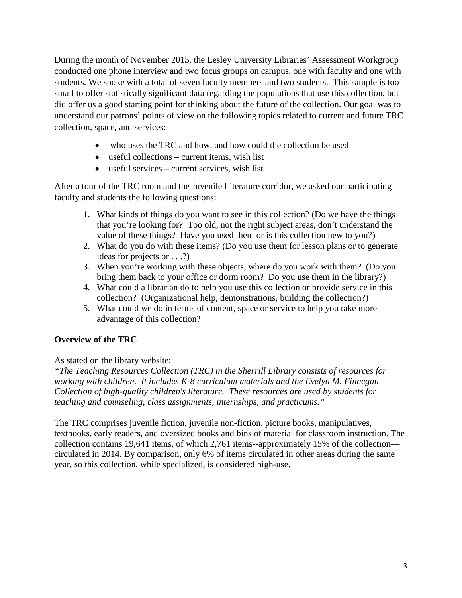During the month of November 2015, the Lesley University Libraries' Assessment Workgroup conducted one phone interview and two focus groups on campus, one with faculty and one with students. We spoke with a total of seven faculty members and two students. This sample is too small to offer statistically significant data regarding the populations that use this collection, but did offer us a good starting point for thinking about the future of the collection. Our goal was to understand our patrons' points of view on the following topics related to current and future TRC collection, space, and services:

- who uses the TRC and how, and how could the collection be used
- useful collections current items, wish list
- useful services current services, wish list

After a tour of the TRC room and the Juvenile Literature corridor, we asked our participating faculty and students the following questions:

- 1. What kinds of things do you want to see in this collection? (Do we have the things that you're looking for? Too old, not the right subject areas, don't understand the value of these things? Have you used them or is this collection new to you?)
- 2. What do you do with these items? (Do you use them for lesson plans or to generate ideas for projects or . . .?)
- 3. When you're working with these objects, where do you work with them? (Do you bring them back to your office or dorm room? Do you use them in the library?)
- 4. What could a librarian do to help you use this collection or provide service in this collection? (Organizational help, demonstrations, building the collection?)
- 5. What could we do in terms of content, space or service to help you take more advantage of this collection?

## **Overview of the TRC**

## As stated on the library website:

*"The Teaching Resources Collection (TRC) in the Sherrill Library consists of resources for working with children. It includes K-8 curriculum materials and the Evelyn M. Finnegan Collection of high-quality children's literature. These resources are used by students for teaching and counseling, class assignments, internships, and practicums."*

The TRC comprises juvenile fiction, juvenile non-fiction, picture books, manipulatives, textbooks, early readers, and oversized books and bins of material for classroom instruction. The collection contains 19,641 items, of which 2,761 items--approximately 15% of the collection circulated in 2014. By comparison, only 6% of items circulated in other areas during the same year, so this collection, while specialized, is considered high-use.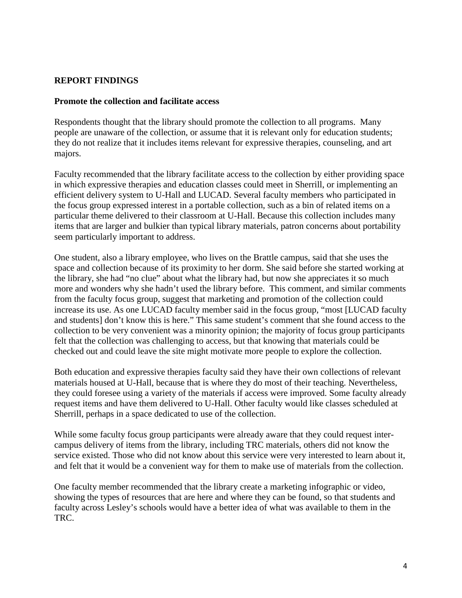#### **REPORT FINDINGS**

#### **Promote the collection and facilitate access**

Respondents thought that the library should promote the collection to all programs. Many people are unaware of the collection, or assume that it is relevant only for education students; they do not realize that it includes items relevant for expressive therapies, counseling, and art majors.

Faculty recommended that the library facilitate access to the collection by either providing space in which expressive therapies and education classes could meet in Sherrill, or implementing an efficient delivery system to U-Hall and LUCAD. Several faculty members who participated in the focus group expressed interest in a portable collection, such as a bin of related items on a particular theme delivered to their classroom at U-Hall. Because this collection includes many items that are larger and bulkier than typical library materials, patron concerns about portability seem particularly important to address.

One student, also a library employee, who lives on the Brattle campus, said that she uses the space and collection because of its proximity to her dorm. She said before she started working at the library, she had "no clue" about what the library had, but now she appreciates it so much more and wonders why she hadn't used the library before. This comment, and similar comments from the faculty focus group, suggest that marketing and promotion of the collection could increase its use. As one LUCAD faculty member said in the focus group, "most [LUCAD faculty and students] don't know this is here." This same student's comment that she found access to the collection to be very convenient was a minority opinion; the majority of focus group participants felt that the collection was challenging to access, but that knowing that materials could be checked out and could leave the site might motivate more people to explore the collection.

Both education and expressive therapies faculty said they have their own collections of relevant materials housed at U-Hall, because that is where they do most of their teaching. Nevertheless, they could foresee using a variety of the materials if access were improved. Some faculty already request items and have them delivered to U-Hall. Other faculty would like classes scheduled at Sherrill, perhaps in a space dedicated to use of the collection.

While some faculty focus group participants were already aware that they could request intercampus delivery of items from the library, including TRC materials, others did not know the service existed. Those who did not know about this service were very interested to learn about it, and felt that it would be a convenient way for them to make use of materials from the collection.

One faculty member recommended that the library create a marketing infographic or video, showing the types of resources that are here and where they can be found, so that students and faculty across Lesley's schools would have a better idea of what was available to them in the TRC.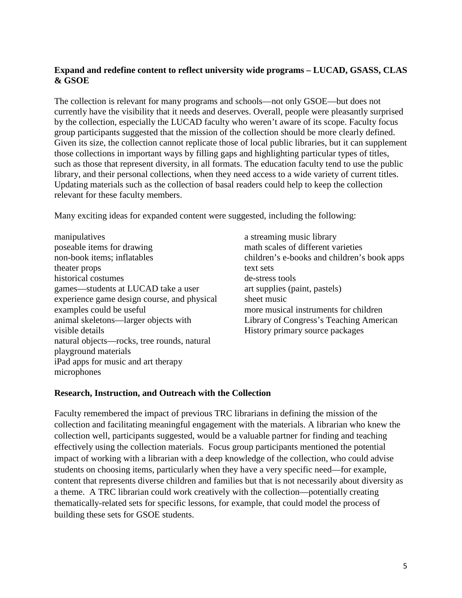### **Expand and redefine content to reflect university wide programs – LUCAD, GSASS, CLAS & GSOE**

The collection is relevant for many programs and schools—not only GSOE—but does not currently have the visibility that it needs and deserves. Overall, people were pleasantly surprised by the collection, especially the LUCAD faculty who weren't aware of its scope. Faculty focus group participants suggested that the mission of the collection should be more clearly defined. Given its size, the collection cannot replicate those of local public libraries, but it can supplement those collections in important ways by filling gaps and highlighting particular types of titles, such as those that represent diversity, in all formats. The education faculty tend to use the public library, and their personal collections, when they need access to a wide variety of current titles. Updating materials such as the collection of basal readers could help to keep the collection relevant for these faculty members.

Many exciting ideas for expanded content were suggested, including the following:

manipulatives poseable items for drawing non-book items; inflatables theater props historical costumes games—students at LUCAD take a user experience game design course, and physical examples could be useful animal skeletons—larger objects with visible details natural objects—rocks, tree rounds, natural playground materials iPad apps for music and art therapy microphones

a streaming music library math scales of different varieties children's e-books and children's book apps text sets de-stress tools art supplies (paint, pastels) sheet music more musical instruments for children Library of Congress's Teaching American History primary source packages

#### **Research, Instruction, and Outreach with the Collection**

Faculty remembered the impact of previous TRC librarians in defining the mission of the collection and facilitating meaningful engagement with the materials. A librarian who knew the collection well, participants suggested, would be a valuable partner for finding and teaching effectively using the collection materials. Focus group participants mentioned the potential impact of working with a librarian with a deep knowledge of the collection, who could advise students on choosing items, particularly when they have a very specific need—for example, content that represents diverse children and families but that is not necessarily about diversity as a theme. A TRC librarian could work creatively with the collection—potentially creating thematically-related sets for specific lessons, for example, that could model the process of building these sets for GSOE students.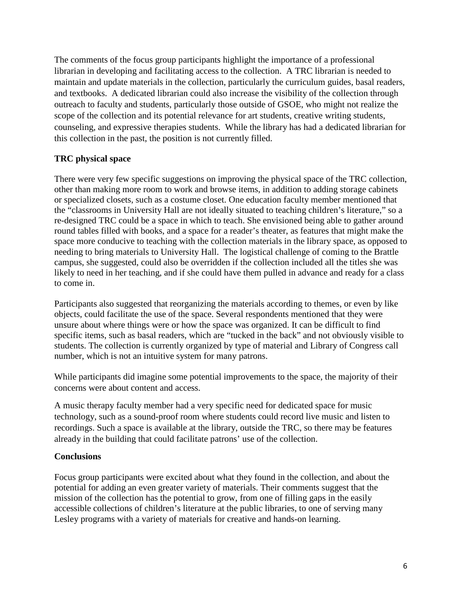The comments of the focus group participants highlight the importance of a professional librarian in developing and facilitating access to the collection. A TRC librarian is needed to maintain and update materials in the collection, particularly the curriculum guides, basal readers, and textbooks. A dedicated librarian could also increase the visibility of the collection through outreach to faculty and students, particularly those outside of GSOE, who might not realize the scope of the collection and its potential relevance for art students, creative writing students, counseling, and expressive therapies students. While the library has had a dedicated librarian for this collection in the past, the position is not currently filled.

### **TRC physical space**

There were very few specific suggestions on improving the physical space of the TRC collection, other than making more room to work and browse items, in addition to adding storage cabinets or specialized closets, such as a costume closet. One education faculty member mentioned that the "classrooms in University Hall are not ideally situated to teaching children's literature," so a re-designed TRC could be a space in which to teach. She envisioned being able to gather around round tables filled with books, and a space for a reader's theater, as features that might make the space more conducive to teaching with the collection materials in the library space, as opposed to needing to bring materials to University Hall. The logistical challenge of coming to the Brattle campus, she suggested, could also be overridden if the collection included all the titles she was likely to need in her teaching, and if she could have them pulled in advance and ready for a class to come in.

Participants also suggested that reorganizing the materials according to themes, or even by like objects, could facilitate the use of the space. Several respondents mentioned that they were unsure about where things were or how the space was organized. It can be difficult to find specific items, such as basal readers, which are "tucked in the back" and not obviously visible to students. The collection is currently organized by type of material and Library of Congress call number, which is not an intuitive system for many patrons.

While participants did imagine some potential improvements to the space, the majority of their concerns were about content and access.

A music therapy faculty member had a very specific need for dedicated space for music technology, such as a sound-proof room where students could record live music and listen to recordings. Such a space is available at the library, outside the TRC, so there may be features already in the building that could facilitate patrons' use of the collection.

#### **Conclusions**

Focus group participants were excited about what they found in the collection, and about the potential for adding an even greater variety of materials. Their comments suggest that the mission of the collection has the potential to grow, from one of filling gaps in the easily accessible collections of children's literature at the public libraries, to one of serving many Lesley programs with a variety of materials for creative and hands-on learning.